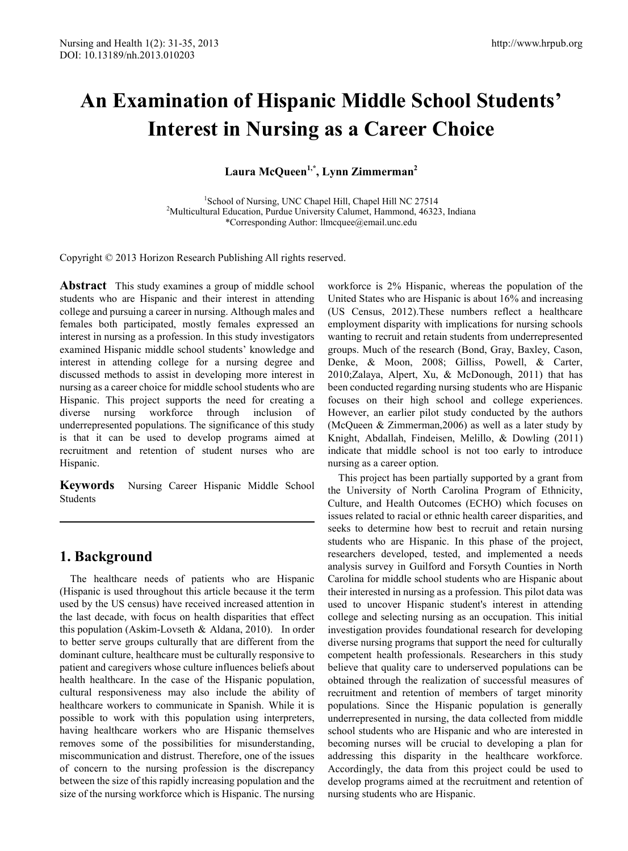# **An Examination of Hispanic Middle School Students' Interest in Nursing as a Career Choice**

Laura McQueen<sup>1,\*</sup>, Lynn Zimmerman<sup>2</sup>

<sup>1</sup>School of Nursing, UNC Chapel Hill, Chapel Hill NC 27514<br><sup>2</sup>Multicultural Education, Burdua University Column Hammond, 4632 <sup>2</sup>Multicultural Education, Purdue University Calumet, Hammond, 46323, Indiana \*Corresponding Author: llmcquee@email.unc.edu

Copyright © 2013 Horizon Research Publishing All rights reserved.

**Abstract** This study examines a group of middle school students who are Hispanic and their interest in attending college and pursuing a career in nursing. Although males and females both participated, mostly females expressed an interest in nursing as a profession. In this study investigators examined Hispanic middle school students' knowledge and interest in attending college for a nursing degree and discussed methods to assist in developing more interest in nursing as a career choice for middle school students who are Hispanic. This project supports the need for creating a diverse nursing workforce through inclusion of underrepresented populations. The significance of this study is that it can be used to develop programs aimed at recruitment and retention of student nurses who are Hispanic.

**Keywords** Nursing Career Hispanic Middle School Students

# **1. Background**

The healthcare needs of patients who are Hispanic (Hispanic is used throughout this article because it the term used by the US census) have received increased attention in the last decade, with focus on health disparities that effect this population (Askim-Lovseth & Aldana, 2010). In order to better serve groups culturally that are different from the dominant culture, healthcare must be culturally responsive to patient and caregivers whose culture influences beliefs about health healthcare. In the case of the Hispanic population, cultural responsiveness may also include the ability of healthcare workers to communicate in Spanish. While it is possible to work with this population using interpreters, having healthcare workers who are Hispanic themselves removes some of the possibilities for misunderstanding, miscommunication and distrust. Therefore, one of the issues of concern to the nursing profession is the discrepancy between the size of this rapidly increasing population and the size of the nursing workforce which is Hispanic. The nursing

workforce is 2% Hispanic, whereas the population of the United States who are Hispanic is about 16% and increasing (US Census, 2012).These numbers reflect a healthcare employment disparity with implications for nursing schools wanting to recruit and retain students from underrepresented groups. Much of the research (Bond, Gray, Baxley, Cason, Denke, & Moon, 2008; Gilliss, Powell, & Carter, 2010;Zalaya, Alpert, Xu, & McDonough, 2011) that has been conducted regarding nursing students who are Hispanic focuses on their high school and college experiences. However, an earlier pilot study conducted by the authors (McQueen & Zimmerman,2006) as well as a later study by Knight, Abdallah, Findeisen, Melillo, & Dowling (2011) indicate that middle school is not too early to introduce nursing as a career option.

This project has been partially supported by a grant from the University of North Carolina Program of Ethnicity, Culture, and Health Outcomes (ECHO) which focuses on issues related to racial or ethnic health career disparities, and seeks to determine how best to recruit and retain nursing students who are Hispanic. In this phase of the project, researchers developed, tested, and implemented a needs analysis survey in Guilford and Forsyth Counties in North Carolina for middle school students who are Hispanic about their interested in nursing as a profession. This pilot data was used to uncover Hispanic student's interest in attending college and selecting nursing as an occupation. This initial investigation provides foundational research for developing diverse nursing programs that support the need for culturally competent health professionals. Researchers in this study believe that quality care to underserved populations can be obtained through the realization of successful measures of recruitment and retention of members of target minority populations. Since the Hispanic population is generally underrepresented in nursing, the data collected from middle school students who are Hispanic and who are interested in becoming nurses will be crucial to developing a plan for addressing this disparity in the healthcare workforce. Accordingly, the data from this project could be used to develop programs aimed at the recruitment and retention of nursing students who are Hispanic.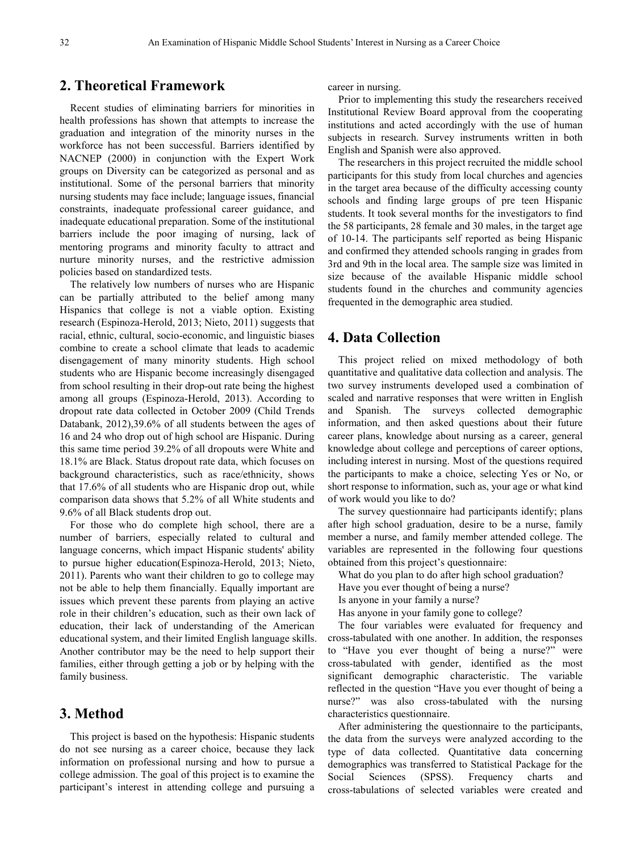## **2. Theoretical Framework**

Recent studies of eliminating barriers for minorities in health professions has shown that attempts to increase the graduation and integration of the minority nurses in the workforce has not been successful. Barriers identified by NACNEP (2000) in conjunction with the Expert Work groups on Diversity can be categorized as personal and as institutional. Some of the personal barriers that minority nursing students may face include; language issues, financial constraints, inadequate professional career guidance, and inadequate educational preparation. Some of the institutional barriers include the poor imaging of nursing, lack of mentoring programs and minority faculty to attract and nurture minority nurses, and the restrictive admission policies based on standardized tests.

The relatively low numbers of nurses who are Hispanic can be partially attributed to the belief among many Hispanics that college is not a viable option. Existing research (Espinoza-Herold, 2013; Nieto, 2011) suggests that racial, ethnic, cultural, socio-economic, and linguistic biases combine to create a school climate that leads to academic disengagement of many minority students. High school students who are Hispanic become increasingly disengaged from school resulting in their drop-out rate being the highest among all groups (Espinoza-Herold, 2013). According to dropout rate data collected in October 2009 (Child Trends Databank, 2012),39.6% of all students between the ages of 16 and 24 who drop out of high school are Hispanic. During this same time period 39.2% of all dropouts were White and 18.1% are Black. Status dropout rate data, which focuses on background characteristics, such as race/ethnicity, shows that 17.6% of all students who are Hispanic drop out, while comparison data shows that 5.2% of all White students and 9.6% of all Black students drop out.

For those who do complete high school, there are a number of barriers, especially related to cultural and language concerns, which impact Hispanic students' ability to pursue higher education(Espinoza-Herold, 2013; Nieto, 2011). Parents who want their children to go to college may not be able to help them financially. Equally important are issues which prevent these parents from playing an active role in their children's education, such as their own lack of education, their lack of understanding of the American educational system, and their limited English language skills. Another contributor may be the need to help support their families, either through getting a job or by helping with the family business.

## **3. Method**

This project is based on the hypothesis: Hispanic students do not see nursing as a career choice, because they lack information on professional nursing and how to pursue a college admission. The goal of this project is to examine the participant's interest in attending college and pursuing a

career in nursing.

Prior to implementing this study the researchers received Institutional Review Board approval from the cooperating institutions and acted accordingly with the use of human subjects in research. Survey instruments written in both English and Spanish were also approved.

The researchers in this project recruited the middle school participants for this study from local churches and agencies in the target area because of the difficulty accessing county schools and finding large groups of pre teen Hispanic students. It took several months for the investigators to find the 58 participants, 28 female and 30 males, in the target age of 10-14. The participants self reported as being Hispanic and confirmed they attended schools ranging in grades from 3rd and 9th in the local area. The sample size was limited in size because of the available Hispanic middle school students found in the churches and community agencies frequented in the demographic area studied.

## **4. Data Collection**

This project relied on mixed methodology of both quantitative and qualitative data collection and analysis. The two survey instruments developed used a combination of scaled and narrative responses that were written in English and Spanish. The surveys collected demographic information, and then asked questions about their future career plans, knowledge about nursing as a career, general knowledge about college and perceptions of career options, including interest in nursing. Most of the questions required the participants to make a choice, selecting Yes or No, or short response to information, such as, your age or what kind of work would you like to do?

The survey questionnaire had participants identify; plans after high school graduation, desire to be a nurse, family member a nurse, and family member attended college. The variables are represented in the following four questions obtained from this project's questionnaire:

What do you plan to do after high school graduation?

- Have you ever thought of being a nurse?
- Is anyone in your family a nurse?
- Has anyone in your family gone to college?

The four variables were evaluated for frequency and cross-tabulated with one another. In addition, the responses to "Have you ever thought of being a nurse?" were cross-tabulated with gender, identified as the most significant demographic characteristic. The variable reflected in the question "Have you ever thought of being a nurse?" was also cross-tabulated with the nursing characteristics questionnaire.

After administering the questionnaire to the participants, the data from the surveys were analyzed according to the type of data collected. Quantitative data concerning demographics was transferred to Statistical Package for the Social Sciences (SPSS). Frequency charts and cross-tabulations of selected variables were created and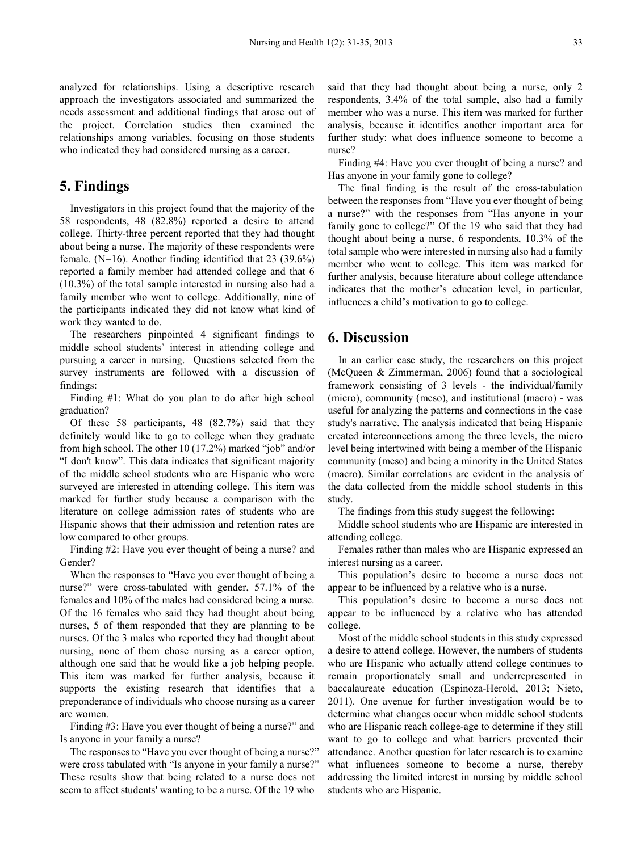analyzed for relationships. Using a descriptive research approach the investigators associated and summarized the needs assessment and additional findings that arose out of the project. Correlation studies then examined the relationships among variables, focusing on those students who indicated they had considered nursing as a career.

#### **5. Findings**

Investigators in this project found that the majority of the 58 respondents, 48 (82.8%) reported a desire to attend college. Thirty-three percent reported that they had thought about being a nurse. The majority of these respondents were female. (N=16). Another finding identified that 23 (39.6%) reported a family member had attended college and that 6 (10.3%) of the total sample interested in nursing also had a family member who went to college. Additionally, nine of the participants indicated they did not know what kind of work they wanted to do.

The researchers pinpointed 4 significant findings to middle school students' interest in attending college and pursuing a career in nursing. Questions selected from the survey instruments are followed with a discussion of findings:

Finding #1: What do you plan to do after high school graduation?

Of these 58 participants, 48 (82.7%) said that they definitely would like to go to college when they graduate from high school. The other 10 (17.2%) marked "job" and/or "I don't know". This data indicates that significant majority of the middle school students who are Hispanic who were surveyed are interested in attending college. This item was marked for further study because a comparison with the literature on college admission rates of students who are Hispanic shows that their admission and retention rates are low compared to other groups.

Finding #2: Have you ever thought of being a nurse? and Gender?

When the responses to "Have you ever thought of being a nurse?" were cross-tabulated with gender, 57.1% of the females and 10% of the males had considered being a nurse. Of the 16 females who said they had thought about being nurses, 5 of them responded that they are planning to be nurses. Of the 3 males who reported they had thought about nursing, none of them chose nursing as a career option, although one said that he would like a job helping people. This item was marked for further analysis, because it supports the existing research that identifies that a preponderance of individuals who choose nursing as a career are women.

Finding #3: Have you ever thought of being a nurse?" and Is anyone in your family a nurse?

The responses to "Have you ever thought of being a nurse?" were cross tabulated with "Is anyone in your family a nurse?" These results show that being related to a nurse does not seem to affect students' wanting to be a nurse. Of the 19 who

said that they had thought about being a nurse, only 2 respondents, 3.4% of the total sample, also had a family member who was a nurse. This item was marked for further analysis, because it identifies another important area for further study: what does influence someone to become a nurse?

Finding #4: Have you ever thought of being a nurse? and Has anyone in your family gone to college?

The final finding is the result of the cross-tabulation between the responses from "Have you ever thought of being a nurse?" with the responses from "Has anyone in your family gone to college?" Of the 19 who said that they had thought about being a nurse, 6 respondents, 10.3% of the total sample who were interested in nursing also had a family member who went to college. This item was marked for further analysis, because literature about college attendance indicates that the mother's education level, in particular, influences a child's motivation to go to college.

#### **6. Discussion**

In an earlier case study, the researchers on this project (McQueen & Zimmerman, 2006) found that a sociological framework consisting of 3 levels - the individual/family (micro), community (meso), and institutional (macro) - was useful for analyzing the patterns and connections in the case study's narrative. The analysis indicated that being Hispanic created interconnections among the three levels, the micro level being intertwined with being a member of the Hispanic community (meso) and being a minority in the United States (macro). Similar correlations are evident in the analysis of the data collected from the middle school students in this study.

The findings from this study suggest the following:

Middle school students who are Hispanic are interested in attending college.

Females rather than males who are Hispanic expressed an interest nursing as a career.

This population's desire to become a nurse does not appear to be influenced by a relative who is a nurse.

This population's desire to become a nurse does not appear to be influenced by a relative who has attended college.

Most of the middle school students in this study expressed a desire to attend college. However, the numbers of students who are Hispanic who actually attend college continues to remain proportionately small and underrepresented in baccalaureate education (Espinoza-Herold, 2013; Nieto, 2011). One avenue for further investigation would be to determine what changes occur when middle school students who are Hispanic reach college-age to determine if they still want to go to college and what barriers prevented their attendance. Another question for later research is to examine what influences someone to become a nurse, thereby addressing the limited interest in nursing by middle school students who are Hispanic.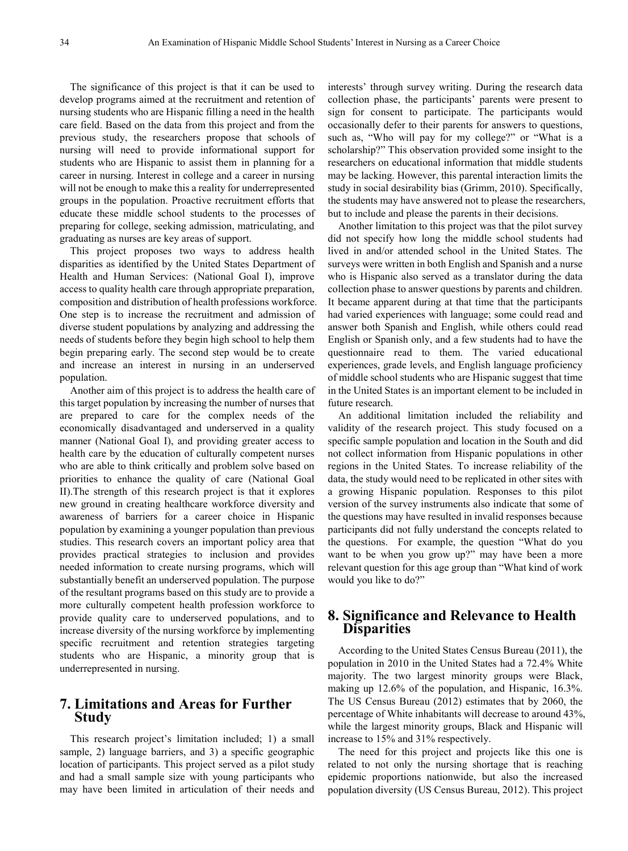The significance of this project is that it can be used to develop programs aimed at the recruitment and retention of nursing students who are Hispanic filling a need in the health care field. Based on the data from this project and from the previous study, the researchers propose that schools of nursing will need to provide informational support for students who are Hispanic to assist them in planning for a career in nursing. Interest in college and a career in nursing will not be enough to make this a reality for underrepresented groups in the population. Proactive recruitment efforts that educate these middle school students to the processes of preparing for college, seeking admission, matriculating, and graduating as nurses are key areas of support.

This project proposes two ways to address health disparities as identified by the United States Department of Health and Human Services: (National Goal I), improve access to quality health care through appropriate preparation, composition and distribution of health professions workforce. One step is to increase the recruitment and admission of diverse student populations by analyzing and addressing the needs of students before they begin high school to help them begin preparing early. The second step would be to create and increase an interest in nursing in an underserved population.

Another aim of this project is to address the health care of this target population by increasing the number of nurses that are prepared to care for the complex needs of the economically disadvantaged and underserved in a quality manner (National Goal I), and providing greater access to health care by the education of culturally competent nurses who are able to think critically and problem solve based on priorities to enhance the quality of care (National Goal II).The strength of this research project is that it explores new ground in creating healthcare workforce diversity and awareness of barriers for a career choice in Hispanic population by examining a younger population than previous studies. This research covers an important policy area that provides practical strategies to inclusion and provides needed information to create nursing programs, which will substantially benefit an underserved population. The purpose of the resultant programs based on this study are to provide a more culturally competent health profession workforce to provide quality care to underserved populations, and to increase diversity of the nursing workforce by implementing specific recruitment and retention strategies targeting students who are Hispanic, a minority group that is underrepresented in nursing.

#### **7. Limitations and Areas for Further Study**

This research project's limitation included; 1) a small sample, 2) language barriers, and 3) a specific geographic location of participants. This project served as a pilot study and had a small sample size with young participants who may have been limited in articulation of their needs and

interests' through survey writing. During the research data collection phase, the participants' parents were present to sign for consent to participate. The participants would occasionally defer to their parents for answers to questions, such as, "Who will pay for my college?" or "What is a scholarship?" This observation provided some insight to the researchers on educational information that middle students may be lacking. However, this parental interaction limits the study in social desirability bias (Grimm, 2010). Specifically, the students may have answered not to please the researchers, but to include and please the parents in their decisions.

Another limitation to this project was that the pilot survey did not specify how long the middle school students had lived in and/or attended school in the United States. The surveys were written in both English and Spanish and a nurse who is Hispanic also served as a translator during the data collection phase to answer questions by parents and children. It became apparent during at that time that the participants had varied experiences with language; some could read and answer both Spanish and English, while others could read English or Spanish only, and a few students had to have the questionnaire read to them. The varied educational experiences, grade levels, and English language proficiency of middle school students who are Hispanic suggest that time in the United States is an important element to be included in future research.

An additional limitation included the reliability and validity of the research project. This study focused on a specific sample population and location in the South and did not collect information from Hispanic populations in other regions in the United States. To increase reliability of the data, the study would need to be replicated in other sites with a growing Hispanic population. Responses to this pilot version of the survey instruments also indicate that some of the questions may have resulted in invalid responses because participants did not fully understand the concepts related to the questions. For example, the question "What do you want to be when you grow up?" may have been a more relevant question for this age group than "What kind of work would you like to do?"

#### **8. Significance and Relevance to Health Disparities**

According to the United States Census Bureau (2011), the population in 2010 in the United States had a 72.4% White majority. The two largest minority groups were Black, making up 12.6% of the population, and Hispanic, 16.3%. The US Census Bureau (2012) estimates that by 2060, the percentage of White inhabitants will decrease to around 43%, while the largest minority groups, Black and Hispanic will increase to 15% and 31% respectively.

The need for this project and projects like this one is related to not only the nursing shortage that is reaching epidemic proportions nationwide, but also the increased population diversity (US Census Bureau, 2012). This project